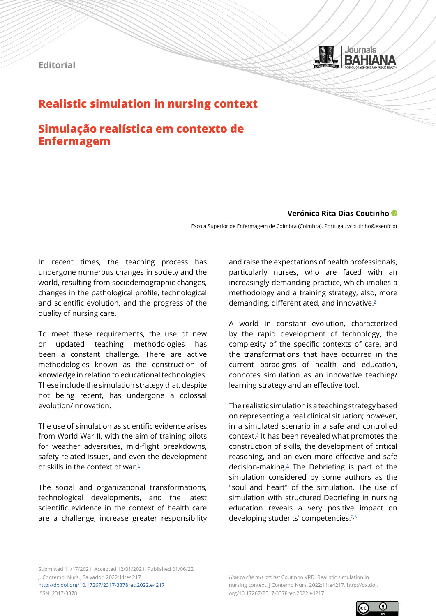



# **Realistic simulation in nursing context**

## **Simulação realística em contexto de Enfermagem**

## **Verónica Rita Dias Coutinho**

Escola Superior de Enfermagem de Coimbra (Coimbra). Portugal. vcoutinho@esenfc.pt

In recent times, the teaching process has undergone numerous changes in society and the world, resulting from sociodemographic changes, changes in the pathological profile, technological and scientific evolution, and the progress of the quality of nursing care.

To meet these requirements, the use of new or updated teaching methodologies has been a constant challenge. There are active methodologies known as the construction of knowledge in relation to educational technologies. These include the simulation strategy that, despite not being recent, has undergone a colossal evolution/innovation.

The use of simulation as scientific evidence arises from World War II, with the aim of training pilots for weather adversities, mid-flight breakdowns, safety-related issues, and even the development of skills in the context of war. $1$ 

The social and organizational transformations, technological developments, and the latest scientific evidence in the context of health care are a challenge, increase greater responsibility and raise the expectations of health professionals, particularly nurses, who are faced with an increasingly demanding practice, which implies a methodology and a training strategy, also, more demanding, differentiated, and innovative.[2](#page-2-1)

A world in constant evolution, characterized by the rapid development of technology, the complexity of the specific contexts of care, and the transformations that have occurred in the current paradigms of health and education, connotes simulation as an innovative teaching/ learning strategy and an effective tool.

The realistic simulation is a teaching strategy based on representing a real clinical situation; however, in a simulated scenario in a safe and controlled context[.3](#page-2-2) It has been revealed what promotes the construction of skills, the development of critical reasoning, and an even more effective and safe decision-making. $4$  The Debriefing is part of the simulation considered by some authors as the "soul and heart" of the simulation. The use of simulation with structured Debriefing in nursing education reveals a very positive impact on developing students' competencies.<sup>2,[5](#page-2-4)</sup>

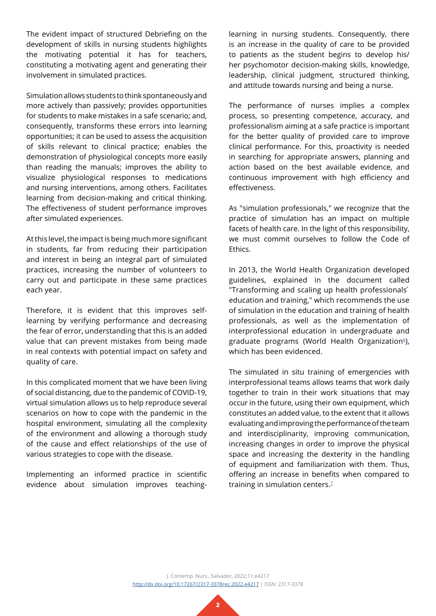The evident impact of structured Debriefing on the development of skills in nursing students highlights the motivating potential it has for teachers, constituting a motivating agent and generating their involvement in simulated practices.

Simulation allows students to think spontaneously and more actively than passively; provides opportunities for students to make mistakes in a safe scenario; and, consequently, transforms these errors into learning opportunities; it can be used to assess the acquisition of skills relevant to clinical practice; enables the demonstration of physiological concepts more easily than reading the manuals; improves the ability to visualize physiological responses to medications and nursing interventions, among others. Facilitates learning from decision-making and critical thinking. The effectiveness of student performance improves after simulated experiences.

At this level, the impact is being much more significant in students, far from reducing their participation and interest in being an integral part of simulated practices, increasing the number of volunteers to carry out and participate in these same practices each year.

Therefore, it is evident that this improves selflearning by verifying performance and decreasing the fear of error, understanding that this is an added value that can prevent mistakes from being made in real contexts with potential impact on safety and quality of care.

In this complicated moment that we have been living of social distancing, due to the pandemic of COVID-19, virtual simulation allows us to help reproduce several scenarios on how to cope with the pandemic in the hospital environment, simulating all the complexity of the environment and allowing a thorough study of the cause and effect relationships of the use of various strategies to cope with the disease.

Implementing an informed practice in scientific evidence about simulation improves teaching-

learning in nursing students. Consequently, there is an increase in the quality of care to be provided to patients as the student begins to develop his/ her psychomotor decision-making skills, knowledge, leadership, clinical judgment, structured thinking, and attitude towards nursing and being a nurse.

The performance of nurses implies a complex process, so presenting competence, accuracy, and professionalism aiming at a safe practice is important for the better quality of provided care to improve clinical performance. For this, proactivity is needed in searching for appropriate answers, planning and action based on the best available evidence, and continuous improvement with high efficiency and effectiveness.

As "simulation professionals," we recognize that the practice of simulation has an impact on multiple facets of health care. In the light of this responsibility, we must commit ourselves to follow the Code of Ethics.

In 2013, the World Health Organization developed guidelines, explained in the document called "Transforming and scaling up health professionals' education and training," which recommends the use of simulation in the education and training of health professionals, as well as the implementation of interprofessional education in undergraduate and graduate programs (World Health Organization<sup>6</sup>), which has been evidenced.

The simulated in situ training of emergencies with interprofessional teams allows teams that work daily together to train in their work situations that may occur in the future, using their own equipment, which constitutes an added value, to the extent that it allows evaluating and improving the performance of the team and interdisciplinarity, improving communication, increasing changes in order to improve the physical space and increasing the dexterity in the handling of equipment and familiarization with them. Thus, offering an increase in benefits when compared to training in simulation centers. $7$ 

J. Contemp. Nurs., Salvador, 2022;11:e4217 [http://dx.doi.org/10.17267/2317-3378rec.2022.e4217](http://dx.doi.org/10.17267/2317-3378rec.2022.e4217 ) | ISSN: 2317-3378

**2**